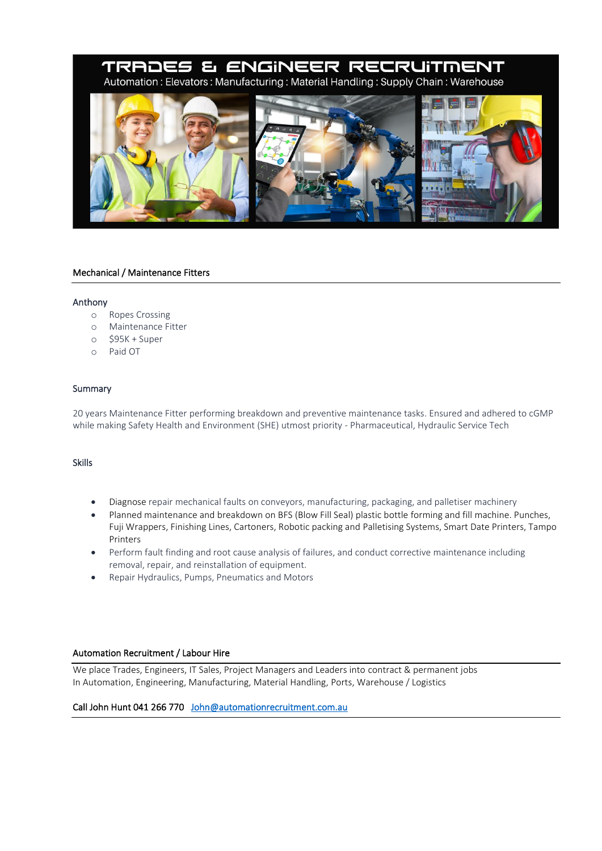# TRADES & ENGINEER RECRUITMENT Automation: Elevators: Manufacturing: Material Handling: Supply Chain: Warehouse



# Mechanical / Maintenance Fitters

#### Anthony

- o Ropes Crossing
- o Maintenance Fitter
- o \$95K + Super
- o Paid OT

# Summary

20 years Maintenance Fitter performing breakdown and preventive maintenance tasks. Ensured and adhered to cGMP while making Safety Health and Environment (SHE) utmost priority - Pharmaceutical, Hydraulic Service Tech

# Skills

- Diagnose repair mechanical faults on conveyors, manufacturing, packaging, and palletiser machinery
- Planned maintenance and breakdown on BFS (Blow Fill Seal) plastic bottle forming and fill machine. Punches, Fuji Wrappers, Finishing Lines, Cartoners, Robotic packing and Palletising Systems, Smart Date Printers, Tampo Printers
- Perform fault finding and root cause analysis of failures, and conduct corrective maintenance including removal, repair, and reinstallation of equipment.
- Repair Hydraulics, Pumps, Pneumatics and Motors

# Automation Recruitment / Labour Hire

We place Trades, Engineers, IT Sales, Project Managers and Leaders into contract & permanent jobs In Automation, Engineering, Manufacturing, Material Handling, Ports, Warehouse / Logistics

Call John Hunt 041 266 770 [John@automationrecruitment.com.au](mailto:John@automationrecruitment.com.au)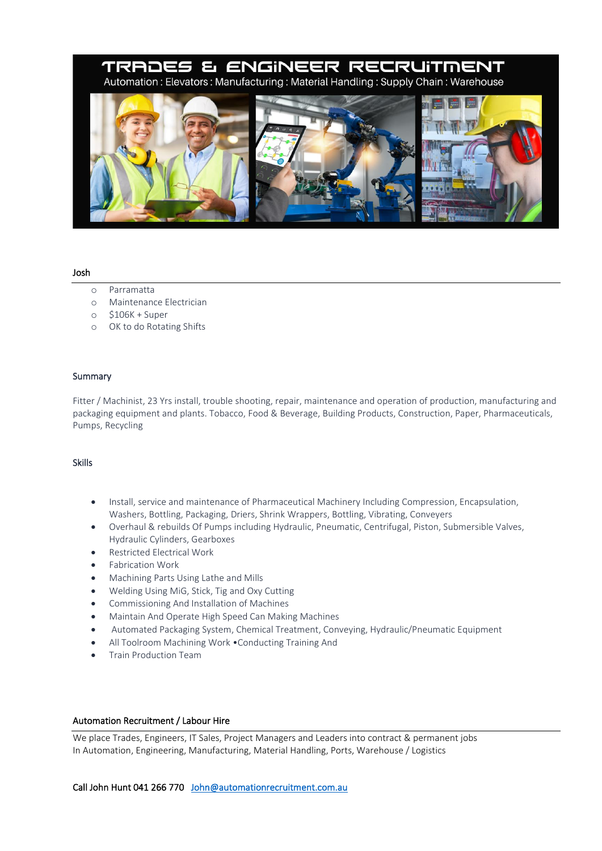# TRADES & ENGINEER RECRUITMENT Automation: Elevators: Manufacturing: Material Handling: Supply Chain: Warehouse



 $\overline{\phantom{a}}$ 

#### Josh

- o Parramatta
- o Maintenance Electrician
- o \$106K + Super
- o OK to do Rotating Shifts

#### Summary

Fitter / Machinist, 23 Yrs install, trouble shooting, repair, maintenance and operation of production, manufacturing and packaging equipment and plants. Tobacco, Food & Beverage, Building Products, Construction, Paper, Pharmaceuticals, Pumps, Recycling

#### Skills

- Install, service and maintenance of Pharmaceutical Machinery Including Compression, Encapsulation, Washers, Bottling, Packaging, Driers, Shrink Wrappers, Bottling, Vibrating, Conveyers
- Overhaul & rebuilds Of Pumps including Hydraulic, Pneumatic, Centrifugal, Piston, Submersible Valves, Hydraulic Cylinders, Gearboxes
- Restricted Electrical Work
- Fabrication Work
- Machining Parts Using Lathe and Mills
- Welding Using MiG, Stick, Tig and Oxy Cutting
- Commissioning And Installation of Machines
- Maintain And Operate High Speed Can Making Machines
- Automated Packaging System, Chemical Treatment, Conveying, Hydraulic/Pneumatic Equipment
- All Toolroom Machining Work •Conducting Training And
- Train Production Team

#### Automation Recruitment / Labour Hire

We place Trades, Engineers, IT Sales, Project Managers and Leaders into contract & permanent jobs In Automation, Engineering, Manufacturing, Material Handling, Ports, Warehouse / Logistics

#### Call John Hunt 041 266 770 John@automationrecruitment.com.au